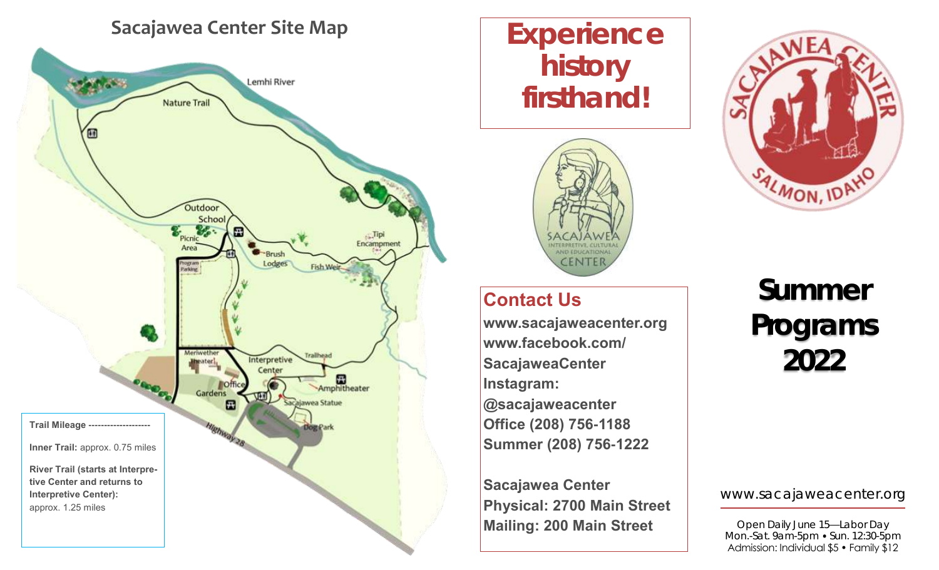## **Sacajawea Center Site Map**



# **Experience history firsthand!**



## **Contact Us**

**www.sacajaweacenter.org www.facebook.com/ SacajaweaCenter Instagram: @sacajaweacenter Office (208) 756-1188 Summer (208) 756-1222**

**Sacajawea Center Physical: 2700 Main Street Mailing: 200 Main Street**



**Summer Programs 2022**

www.sacajaweacenter.org

Open Daily June 15—Labor Day Mon.-Sat. 9am-5pm • Sun. 12:30-5pm Admission: Individual \$5 • Family \$12